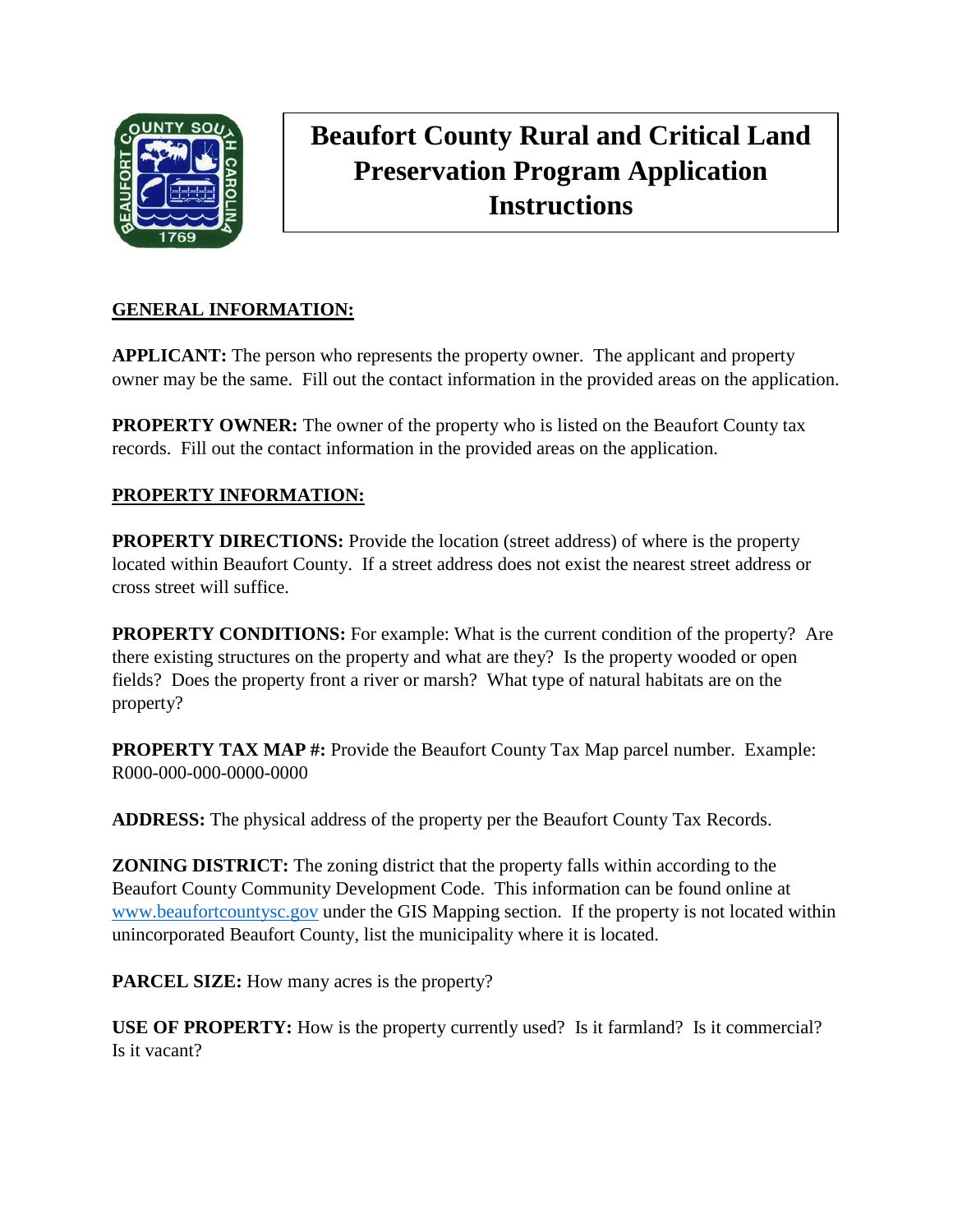

# **Beaufort County Rural and Critical Land Preservation Program Application Instructions**

## **GENERAL INFORMATION:**

**APPLICANT:** The person who represents the property owner. The applicant and property owner may be the same. Fill out the contact information in the provided areas on the application.

**PROPERTY OWNER:** The owner of the property who is listed on the Beaufort County tax records. Fill out the contact information in the provided areas on the application.

#### **PROPERTY INFORMATION:**

**PROPERTY DIRECTIONS:** Provide the location (street address) of where is the property located within Beaufort County. If a street address does not exist the nearest street address or cross street will suffice.

**PROPERTY CONDITIONS:** For example: What is the current condition of the property? Are there existing structures on the property and what are they? Is the property wooded or open fields? Does the property front a river or marsh? What type of natural habitats are on the property?

**PROPERTY TAX MAP #:** Provide the Beaufort County Tax Map parcel number. Example: R000-000-000-0000-0000

**ADDRESS:** The physical address of the property per the Beaufort County Tax Records.

**ZONING DISTRICT:** The zoning district that the property falls within according to the Beaufort County Community Development Code. This information can be found online at [www.beaufortcountysc.gov](http://www.beaufortcountysc.gov/) under the GIS Mapping section. If the property is not located within unincorporated Beaufort County, list the municipality where it is located.

**PARCEL SIZE:** How many acres is the property?

**USE OF PROPERTY:** How is the property currently used? Is it farmland? Is it commercial? Is it vacant?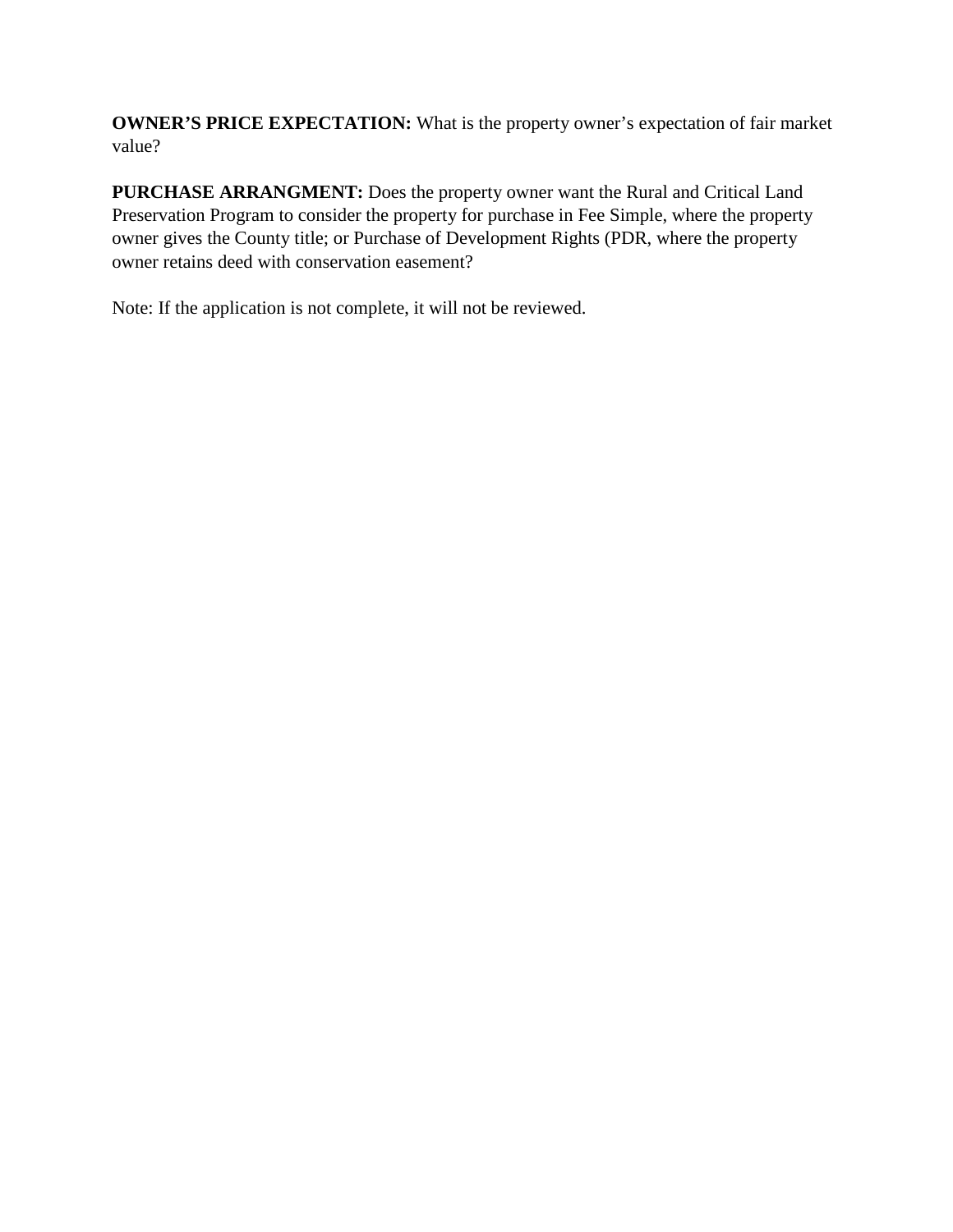**OWNER'S PRICE EXPECTATION:** What is the property owner's expectation of fair market value?

**PURCHASE ARRANGMENT:** Does the property owner want the Rural and Critical Land Preservation Program to consider the property for purchase in Fee Simple, where the property owner gives the County title; or Purchase of Development Rights (PDR, where the property owner retains deed with conservation easement?

Note: If the application is not complete, it will not be reviewed.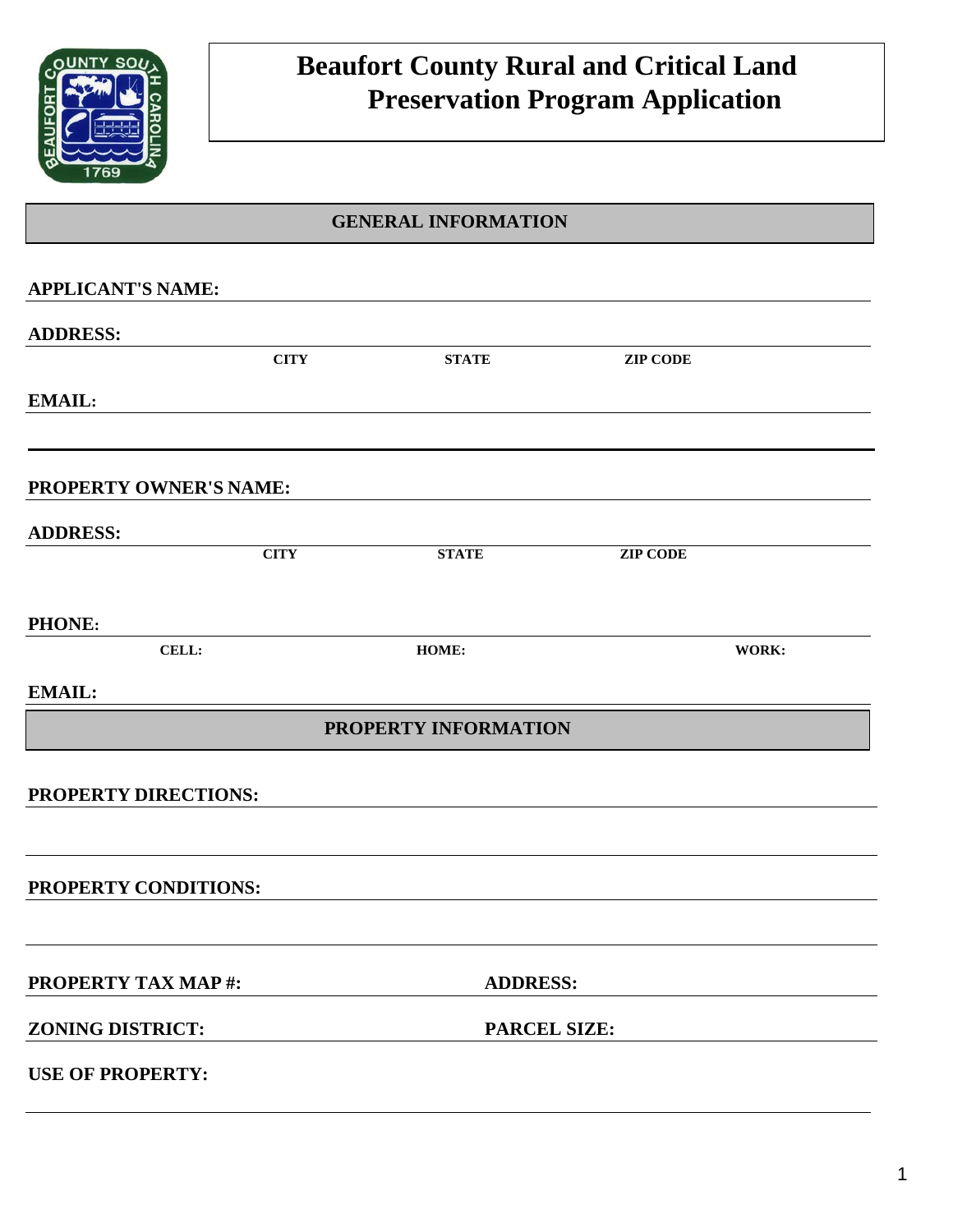

# **Beaufort County Rural and Critical Land Preservation Program Application**

## **GENERAL INFORMATION**

| <b>APPLICANT'S NAME:</b>  |             |                      |                 |       |
|---------------------------|-------------|----------------------|-----------------|-------|
| <b>ADDRESS:</b>           |             |                      |                 |       |
|                           | <b>CITY</b> | <b>STATE</b>         | <b>ZIP CODE</b> |       |
| <b>EMAIL:</b>             |             |                      |                 |       |
|                           |             |                      |                 |       |
| PROPERTY OWNER'S NAME:    |             |                      |                 |       |
| <b>ADDRESS:</b>           |             |                      |                 |       |
|                           | <b>CITY</b> | <b>STATE</b>         | <b>ZIP CODE</b> |       |
| PHONE:                    |             |                      |                 |       |
| CELL:                     |             | HOME:                |                 | WORK: |
| <b>EMAIL:</b>             |             |                      |                 |       |
|                           |             | PROPERTY INFORMATION |                 |       |
| PROPERTY DIRECTIONS:      |             |                      |                 |       |
|                           |             |                      |                 |       |
| PROPERTY CONDITIONS:      |             |                      |                 |       |
|                           |             |                      |                 |       |
| <b>PROPERTY TAX MAP#:</b> |             | <b>ADDRESS:</b>      |                 |       |
| <b>ZONING DISTRICT:</b>   |             | <b>PARCEL SIZE:</b>  |                 |       |
| <b>USE OF PROPERTY:</b>   |             |                      |                 |       |